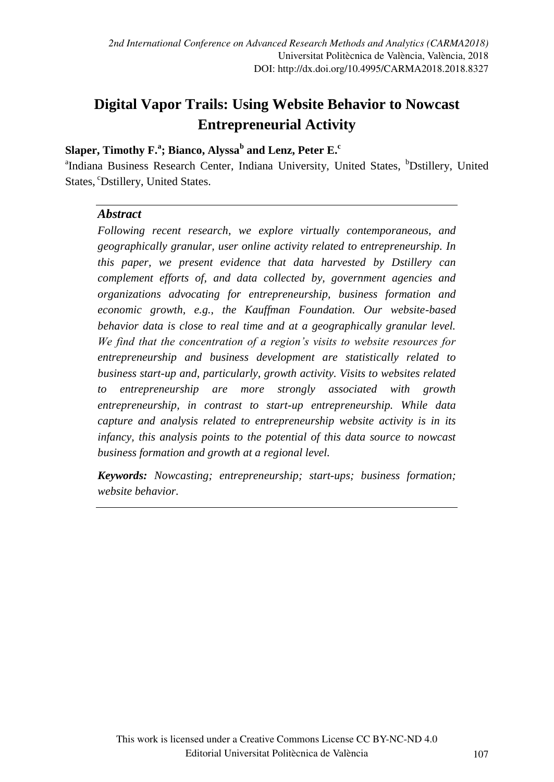# **Digital Vapor Trails: Using Website Behavior to Nowcast Entrepreneurial Activity**

### **Slaper, Timothy F.<sup>a</sup> ; Bianco, Alyssa<sup>b</sup> and Lenz, Peter E.<sup>c</sup>**

<sup>a</sup>Indiana Business Research Center, Indiana University, United States, <sup>b</sup>Dstillery, United States, <sup>c</sup>Dstillery, United States.

#### *Abstract*

*Following recent research, we explore virtually contemporaneous, and geographically granular, user online activity related to entrepreneurship. In this paper, we present evidence that data harvested by Dstillery can complement efforts of, and data collected by, government agencies and organizations advocating for entrepreneurship, business formation and economic growth, e.g., the Kauffman Foundation. Our website-based behavior data is close to real time and at a geographically granular level. We find that the concentration of a region's visits to website resources for entrepreneurship and business development are statistically related to business start-up and, particularly, growth activity. Visits to websites related to entrepreneurship are more strongly associated with growth entrepreneurship, in contrast to start-up entrepreneurship. While data capture and analysis related to entrepreneurship website activity is in its infancy, this analysis points to the potential of this data source to nowcast business formation and growth at a regional level.* 

*Keywords: Nowcasting; entrepreneurship; start-ups; business formation; website behavior.*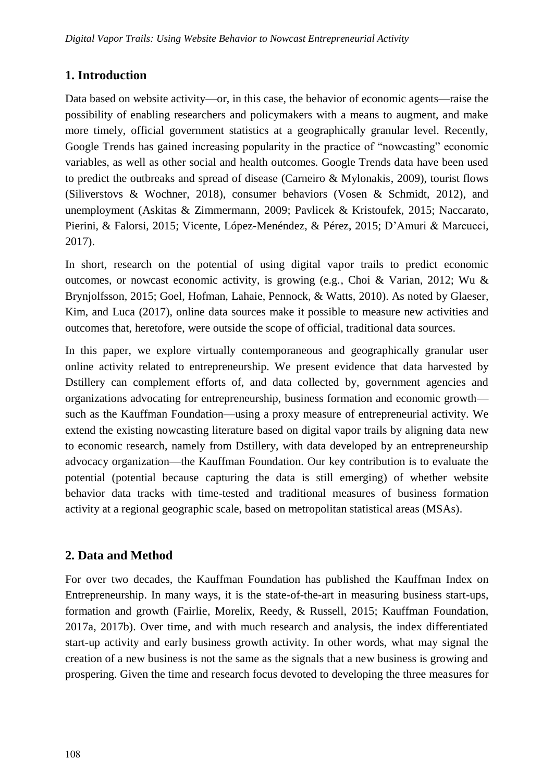## **1. Introduction**

Data based on website activity—or, in this case, the behavior of economic agents—raise the possibility of enabling researchers and policymakers with a means to augment, and make more timely, official government statistics at a geographically granular level. Recently, Google Trends has gained increasing popularity in the practice of "nowcasting" economic variables, as well as other social and health outcomes. Google Trends data have been used to predict the outbreaks and spread of disease (Carneiro & Mylonakis, 2009), tourist flows (Siliverstovs & Wochner, 2018), consumer behaviors (Vosen & Schmidt, 2012), and unemployment (Askitas & Zimmermann, 2009; Pavlicek & Kristoufek, 2015; Naccarato, Pierini, & Falorsi, 2015; Vicente, López-Menéndez, & Pérez, 2015; D'Amuri & Marcucci, 2017).

In short, research on the potential of using digital vapor trails to predict economic outcomes, or nowcast economic activity, is growing (e.g., Choi & Varian, 2012; Wu & Brynjolfsson, 2015; Goel, Hofman, Lahaie, Pennock, & Watts, 2010). As noted by Glaeser, Kim, and Luca (2017), online data sources make it possible to measure new activities and outcomes that, heretofore, were outside the scope of official, traditional data sources.

In this paper, we explore virtually contemporaneous and geographically granular user online activity related to entrepreneurship. We present evidence that data harvested by Dstillery can complement efforts of, and data collected by, government agencies and organizations advocating for entrepreneurship, business formation and economic growth such as the Kauffman Foundation—using a proxy measure of entrepreneurial activity. We extend the existing nowcasting literature based on digital vapor trails by aligning data new to economic research, namely from Dstillery, with data developed by an entrepreneurship advocacy organization—the Kauffman Foundation. Our key contribution is to evaluate the potential (potential because capturing the data is still emerging) of whether website behavior data tracks with time-tested and traditional measures of business formation activity at a regional geographic scale, based on metropolitan statistical areas (MSAs).

## **2. Data and Method**

For over two decades, the Kauffman Foundation has published the Kauffman Index on Entrepreneurship. In many ways, it is the state-of-the-art in measuring business start-ups, formation and growth (Fairlie, Morelix, Reedy, & Russell, 2015; Kauffman Foundation, 2017a, 2017b). Over time, and with much research and analysis, the index differentiated start-up activity and early business growth activity. In other words, what may signal the creation of a new business is not the same as the signals that a new business is growing and prospering. Given the time and research focus devoted to developing the three measures for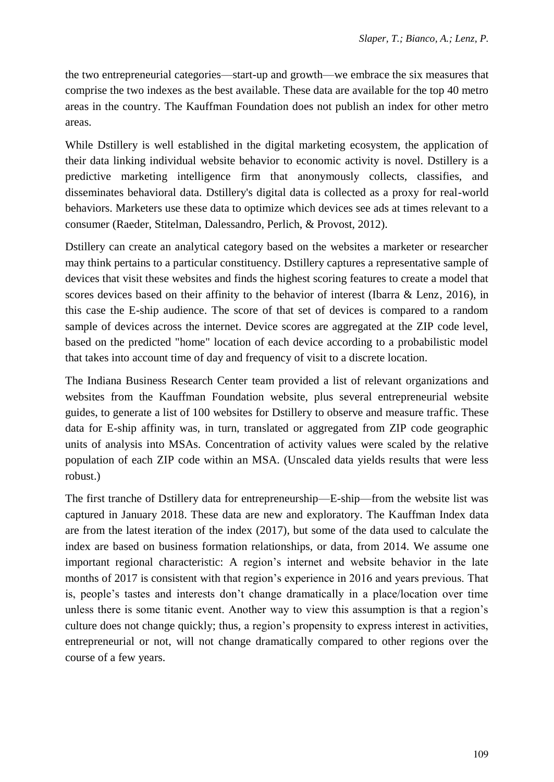the two entrepreneurial categories—start-up and growth—we embrace the six measures that comprise the two indexes as the best available. These data are available for the top 40 metro areas in the country. The Kauffman Foundation does not publish an index for other metro areas.

While Dstillery is well established in the digital marketing ecosystem, the application of their data linking individual website behavior to economic activity is novel. Dstillery is a predictive marketing intelligence firm that anonymously collects, classifies, and disseminates behavioral data. Dstillery's digital data is collected as a proxy for real-world behaviors. Marketers use these data to optimize which devices see ads at times relevant to a consumer (Raeder, Stitelman, Dalessandro, Perlich, & Provost, 2012).

Dstillery can create an analytical category based on the websites a marketer or researcher may think pertains to a particular constituency. Dstillery captures a representative sample of devices that visit these websites and finds the highest scoring features to create a model that scores devices based on their affinity to the behavior of interest (Ibarra  $\&$  Lenz, 2016), in this case the E-ship audience. The score of that set of devices is compared to a random sample of devices across the internet. Device scores are aggregated at the ZIP code level, based on the predicted "home" location of each device according to a probabilistic model that takes into account time of day and frequency of visit to a discrete location.

The Indiana Business Research Center team provided a list of relevant organizations and websites from the Kauffman Foundation website, plus several entrepreneurial website guides, to generate a list of 100 websites for Dstillery to observe and measure traffic. These data for E-ship affinity was, in turn, translated or aggregated from ZIP code geographic units of analysis into MSAs. Concentration of activity values were scaled by the relative population of each ZIP code within an MSA. (Unscaled data yields results that were less robust.)

The first tranche of Dstillery data for entrepreneurship—E-ship—from the website list was captured in January 2018. These data are new and exploratory. The Kauffman Index data are from the latest iteration of the index (2017), but some of the data used to calculate the index are based on business formation relationships, or data, from 2014. We assume one important regional characteristic: A region's internet and website behavior in the late months of 2017 is consistent with that region's experience in 2016 and years previous. That is, people's tastes and interests don't change dramatically in a place/location over time unless there is some titanic event. Another way to view this assumption is that a region's culture does not change quickly; thus, a region's propensity to express interest in activities, entrepreneurial or not, will not change dramatically compared to other regions over the course of a few years.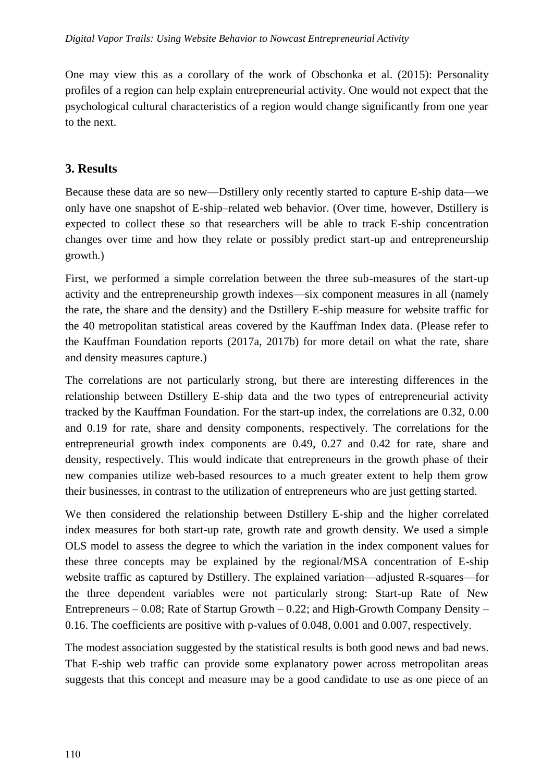One may view this as a corollary of the work of Obschonka et al. (2015): Personality profiles of a region can help explain entrepreneurial activity. One would not expect that the psychological cultural characteristics of a region would change significantly from one year to the next.

## **3. Results**

Because these data are so new—Dstillery only recently started to capture E-ship data—we only have one snapshot of E-ship–related web behavior. (Over time, however, Dstillery is expected to collect these so that researchers will be able to track E-ship concentration changes over time and how they relate or possibly predict start-up and entrepreneurship growth.)

First, we performed a simple correlation between the three sub-measures of the start-up activity and the entrepreneurship growth indexes—six component measures in all (namely the rate, the share and the density) and the Dstillery E-ship measure for website traffic for the 40 metropolitan statistical areas covered by the Kauffman Index data. (Please refer to the Kauffman Foundation reports (2017a, 2017b) for more detail on what the rate, share and density measures capture.)

The correlations are not particularly strong, but there are interesting differences in the relationship between Dstillery E-ship data and the two types of entrepreneurial activity tracked by the Kauffman Foundation. For the start-up index, the correlations are 0.32, 0.00 and 0.19 for rate, share and density components, respectively. The correlations for the entrepreneurial growth index components are 0.49, 0.27 and 0.42 for rate, share and density, respectively. This would indicate that entrepreneurs in the growth phase of their new companies utilize web-based resources to a much greater extent to help them grow their businesses, in contrast to the utilization of entrepreneurs who are just getting started.

We then considered the relationship between Dstillery E-ship and the higher correlated index measures for both start-up rate, growth rate and growth density. We used a simple OLS model to assess the degree to which the variation in the index component values for these three concepts may be explained by the regional/MSA concentration of E-ship website traffic as captured by Dstillery. The explained variation—adjusted R-squares—for the three dependent variables were not particularly strong: Start-up Rate of New Entrepreneurs – 0.08; Rate of Startup Growth – 0.22; and High-Growth Company Density – 0.16. The coefficients are positive with p-values of 0.048, 0.001 and 0.007, respectively.

The modest association suggested by the statistical results is both good news and bad news. That E-ship web traffic can provide some explanatory power across metropolitan areas suggests that this concept and measure may be a good candidate to use as one piece of an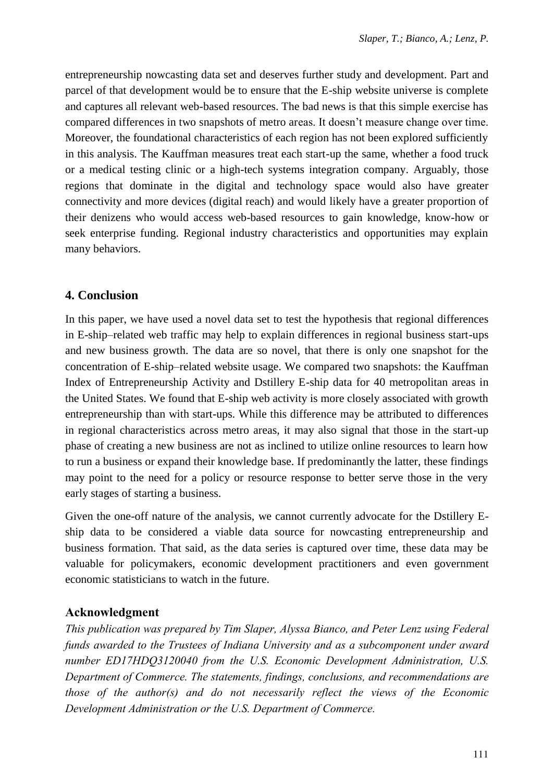entrepreneurship nowcasting data set and deserves further study and development. Part and parcel of that development would be to ensure that the E-ship website universe is complete and captures all relevant web-based resources. The bad news is that this simple exercise has compared differences in two snapshots of metro areas. It doesn't measure change over time. Moreover, the foundational characteristics of each region has not been explored sufficiently in this analysis. The Kauffman measures treat each start-up the same, whether a food truck or a medical testing clinic or a high-tech systems integration company. Arguably, those regions that dominate in the digital and technology space would also have greater connectivity and more devices (digital reach) and would likely have a greater proportion of their denizens who would access web-based resources to gain knowledge, know-how or seek enterprise funding. Regional industry characteristics and opportunities may explain many behaviors.

#### **4. Conclusion**

In this paper, we have used a novel data set to test the hypothesis that regional differences in E-ship–related web traffic may help to explain differences in regional business start-ups and new business growth. The data are so novel, that there is only one snapshot for the concentration of E-ship–related website usage. We compared two snapshots: the Kauffman Index of Entrepreneurship Activity and Dstillery E-ship data for 40 metropolitan areas in the United States. We found that E-ship web activity is more closely associated with growth entrepreneurship than with start-ups. While this difference may be attributed to differences in regional characteristics across metro areas, it may also signal that those in the start-up phase of creating a new business are not as inclined to utilize online resources to learn how to run a business or expand their knowledge base. If predominantly the latter, these findings may point to the need for a policy or resource response to better serve those in the very early stages of starting a business.

Given the one-off nature of the analysis, we cannot currently advocate for the Dstillery Eship data to be considered a viable data source for nowcasting entrepreneurship and business formation. That said, as the data series is captured over time, these data may be valuable for policymakers, economic development practitioners and even government economic statisticians to watch in the future.

## **Acknowledgment**

*This publication was prepared by Tim Slaper, Alyssa Bianco, and Peter Lenz using Federal funds awarded to the Trustees of Indiana University and as a subcomponent under award number ED17HDQ3120040 from the U.S. Economic Development Administration, U.S. Department of Commerce. The statements, findings, conclusions, and recommendations are those of the author(s) and do not necessarily reflect the views of the Economic Development Administration or the U.S. Department of Commerce.*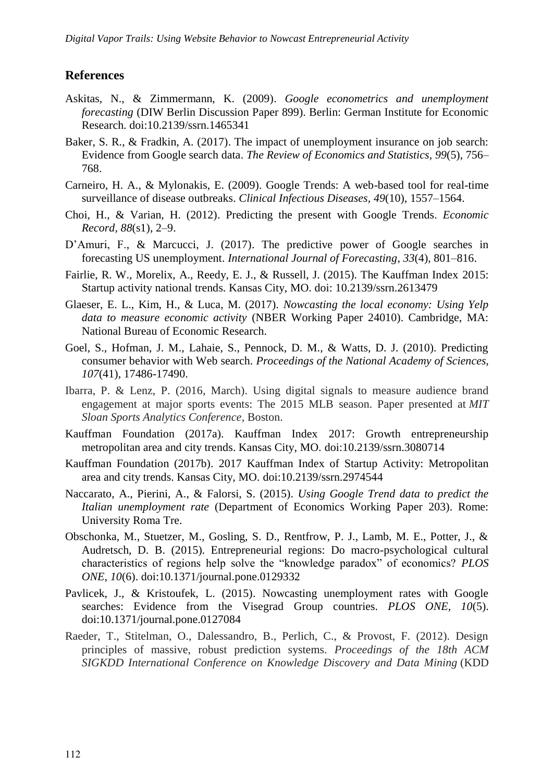#### **References**

- Askitas, N., & Zimmermann, K. (2009). *Google econometrics and unemployment forecasting* (DIW Berlin Discussion Paper 899). Berlin: German Institute for Economic Research. doi:10.2139/ssrn.1465341
- Baker, S. R., & Fradkin, A. (2017). The impact of unemployment insurance on job search: Evidence from Google search data. *The Review of Economics and Statistics, 99*(5), 756– 768.
- Carneiro, H. A., & Mylonakis, E. (2009). Google Trends: A web-based tool for real-time surveillance of disease outbreaks. *Clinical Infectious Diseases, 49*(10), 1557–1564.
- Choi, H., & Varian, H. (2012). Predicting the present with Google Trends. *Economic Record, 88*(s1), 2–9.
- D'Amuri, F., & Marcucci, J. (2017). The predictive power of Google searches in forecasting US unemployment. *International Journal of Forecasting, 33*(4), 801–816.
- Fairlie, R. W., Morelix, A., Reedy, E. J., & Russell, J. (2015). The Kauffman Index 2015: Startup activity national trends. Kansas City, MO. doi: 10.2139/ssrn.2613479
- Glaeser, E. L., Kim, H., & Luca, M. (2017). *Nowcasting the local economy: Using Yelp data to measure economic activity* (NBER Working Paper 24010). Cambridge, MA: National Bureau of Economic Research.
- Goel, S., Hofman, J. M., Lahaie, S., Pennock, D. M., & Watts, D. J. (2010). Predicting consumer behavior with Web search. *Proceedings of the National Academy of Sciences*, *107*(41), 17486-17490.
- Ibarra, P. & Lenz, P. (2016, March). Using digital signals to measure audience brand engagement at major sports events: The 2015 MLB season. Paper presented at *MIT Sloan Sports Analytics Conference,* Boston.
- Kauffman Foundation (2017a). Kauffman Index 2017: Growth entrepreneurship metropolitan area and city trends. Kansas City, MO. doi:10.2139/ssrn.3080714
- Kauffman Foundation (2017b). 2017 Kauffman Index of Startup Activity: Metropolitan area and city trends. Kansas City, MO. doi:10.2139/ssrn.2974544
- Naccarato, A., Pierini, A., & Falorsi, S. (2015). *Using Google Trend data to predict the Italian unemployment rate* (Department of Economics Working Paper 203). Rome: University Roma Tre.
- Obschonka, M., Stuetzer, M., Gosling, S. D., Rentfrow, P. J., Lamb, M. E., Potter, J., & Audretsch, D. B. (2015). Entrepreneurial regions: Do macro-psychological cultural characteristics of regions help solve the "knowledge paradox" of economics? *PLOS ONE*, *10*(6). doi:10.1371/journal.pone.0129332
- Pavlicek, J., & Kristoufek, L. (2015). Nowcasting unemployment rates with Google searches: Evidence from the Visegrad Group countries. *PLOS ONE, 10*(5). doi:10.1371/journal.pone.0127084
- Raeder, T., Stitelman, O., Dalessandro, B., Perlich, C., & Provost, F. (2012). Design principles of massive, robust prediction systems. *Proceedings of the 18th ACM SIGKDD International Conference on Knowledge Discovery and Data Mining* (KDD